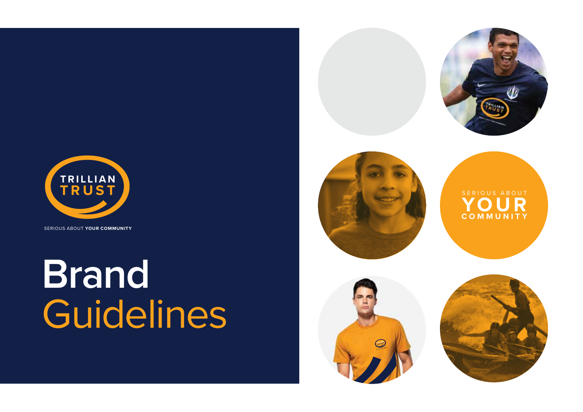

SERIOUS ABOUT **YOUR COMMUNITY**

## **Brand** Guidelines





SERIOUS ABOUT **YOUR COMMUNITY**



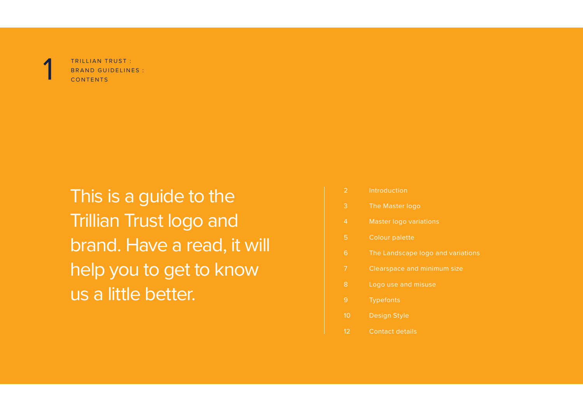

TRILLIAN TRUST : BRAND GUIDELINES :<br>CONTENTS

This is a guide to the Trillian Trust logo and brand. Have a read, it will help you to get to know us a little better.

| $\overline{2}$ | Introduction                      |
|----------------|-----------------------------------|
| 3              | The Master logo                   |
| $\overline{4}$ | <b>Master logo variations</b>     |
| 5              | <b>Colour palette</b>             |
| 6              | The Landscape logo and variations |
| 7              | Clearspace and minimum size       |
| 8              | Logo use and misuse               |
| 9              | <b>Typefonts</b>                  |
| 10             | <b>Design Style</b>               |
| 12             | <b>Contact details</b>            |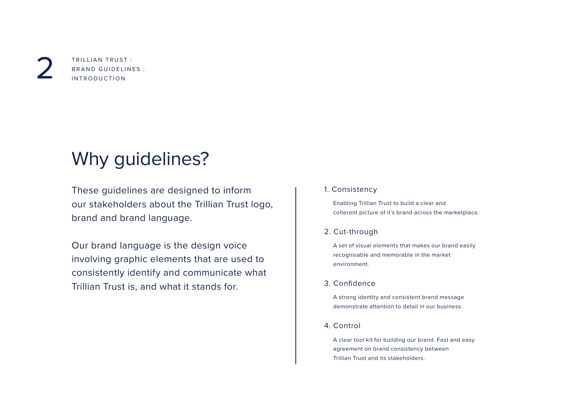TRILLIAN TRUST : BRAND GUIDELINES :<br>INTRODUCTION

## Why guidelines?

These guidelines are designed to inform our stakeholders about the Trillian Trust logo, brand and brand language.

Our brand language is the design voice involving graphic elements that are used to consistently identify and communicate what Trillian Trust is, and what it stands for.

#### 1. Consistency

 Enabling Trillian Trust to build a clear and coherent picture of it's brand across the marketplace.

#### 2. Cut-through

 A set of visual elements that makes our brand easily recognisable and memorable in the market environment.

#### 3. Confidence

 A strong identity and consistent brand message demonstrate attention to detail in our business.

#### 4. Control

 A clear tool kit for building our brand. Fast and easy agreement on brand consistency between Trillian Trust and its stakeholders.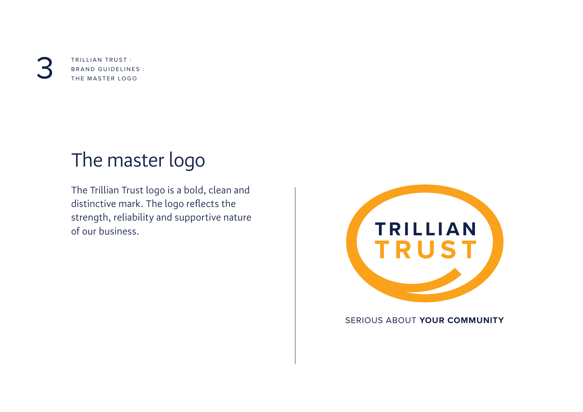TRILLIAN TRUST : BRAND GUIDELINES :<br>THE MASTER LOGO

## The master logo

The Trillian Trust logo is a bold, clean and distinctive mark. The logo reflects the strength, reliability and supportive nature of our business.



SERIOUS ABOUT **YOUR COMMUNITY**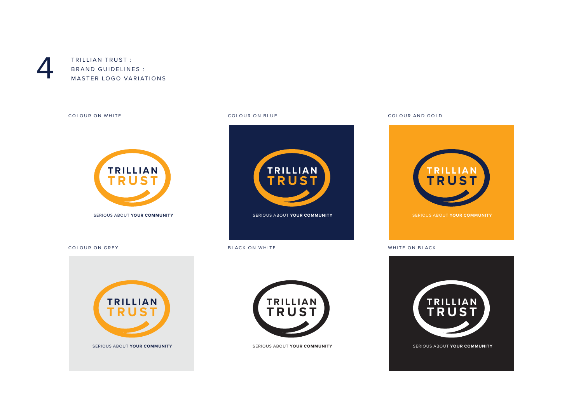

TRILLIAN TRUST : BRAND GUIDELINES :<br>MASTER LOGO VARIATIONS

COLOUR ON WHITE COLOUR ON BLUE COLOUR AND GOLD









SERIOUS ABOUT **YOUR COMMUNITY**

**TRILLIAN TRUST**

COLOUR ON GREY **BLACK ON WHITE BLACK ON WHITE WHITE ON BLACK** 

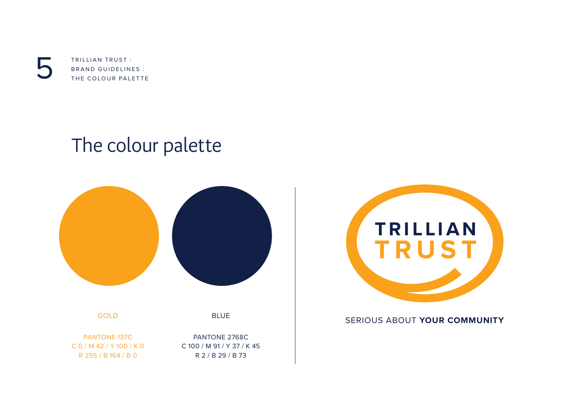TRILLIAN TRUST : TRILLIAN TRUST :<br>BRAND GUIDELINES :<br>THE COLOUR PALETTE

## The colour palette



GOLD PANTONE 137C

C 0 / M 42 / Y 100 / K 0 R 255 / B 164 / B 0



BLUE



#### SERIOUS ABOUT **YOUR COMMUNITY**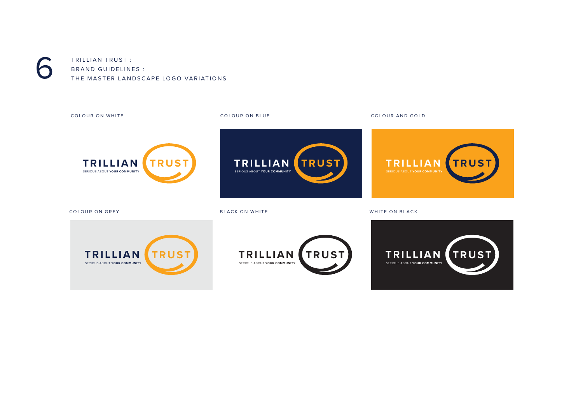

TRILLIAN TRUST : BRAND GUIDELINES :<br>THE MASTER LANDSCAPE LOGO VARIATIONS

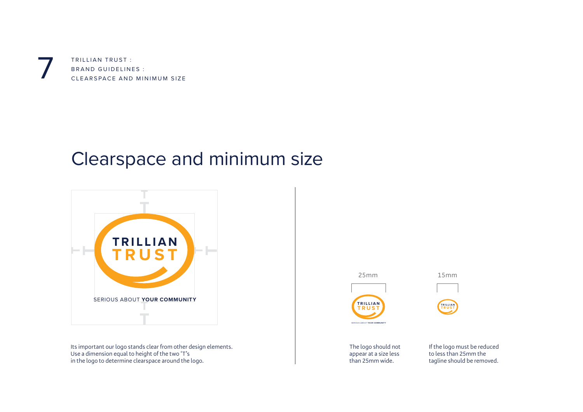TRILLIAN TRUST : BRAND GUIDELINES :<br>CLEARSPACE AND MINIMUM SIZE

#### Clearspace and minimum size



Its important our logo stands clear from other design elements. Use a dimension equal to height of the two 'T's in the logo to determine clearspace around the logo.

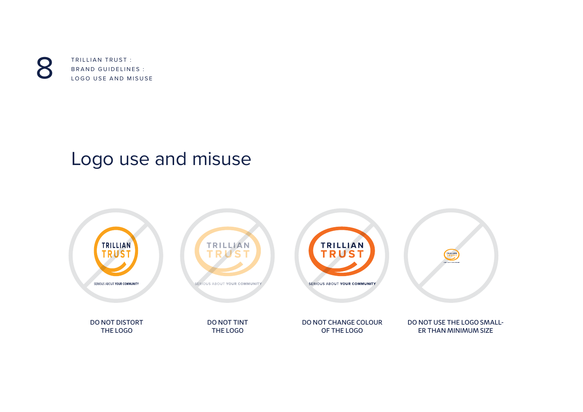

TRILLIAN TRUST : BRAND GUIDELINES :<br>LOGO USE AND MISUSE

## Logo use and misuse

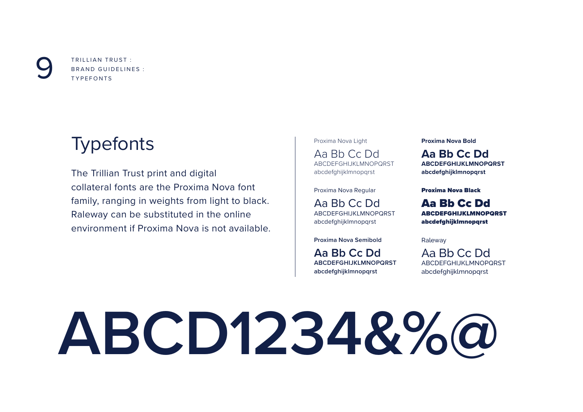TRILLIAN TRUST : BRAND GUIDELINES :<br>TYPEFONTS

## Typefonts

The Trillian Trust print and digital collateral fonts are the Proxima Nova font family, ranging in weights from light to black. Raleway can be substituted in the online environment if Proxima Nova is not available.

Proxima Nova Light Aa Bb Cc Dd ABCDEFGHIJKLMNOPQRST abcdefghijklmnopqrst

Proxima Nova Regular

Aa Bb Cc Dd ABCDEFGHIJKLMNOPQRST abcdefghijklmnopqrst

**Proxima Nova Semibold**

**Aa Bb Cc Dd ABCDEFGHIJKLMNOPQRST abcdefghijklmnopqrst**

**Proxima Nova Bold**

**Aa Bb Cc Dd ABCDEFGHIJKLMNOPQRST abcdefghijklmnopqrst**

Proxima Nova Black

Aa Bb Cc Dd ABCDEFGHIJKLMNOPQRST abcdefghijklmnopqrst

Raleway

Aa Bb Cc Dd ABCDEFGHIJKLMNOPQRST abcdefghijklmnopqrst

# **ABCD1234&%@**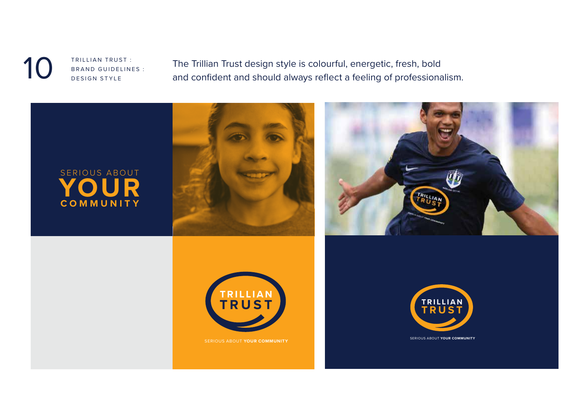TRILLIAN TRUST : **BRAND GUIDELINES :**<br>DESIGN STYLE

The Trillian Trust design style is colourful, energetic, fresh, bold and confident and should always reflect a feeling of professionalism.







SERIOUS ABOUT **YOUR COMMUNITY**

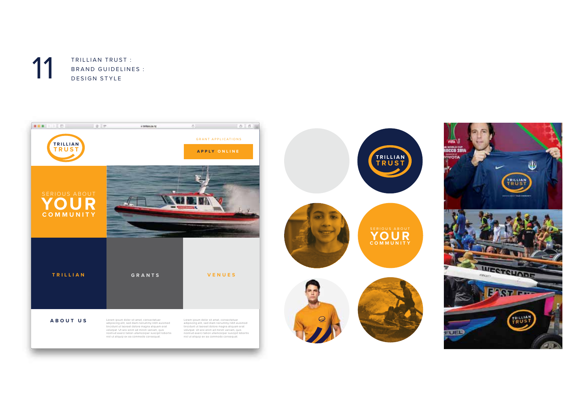